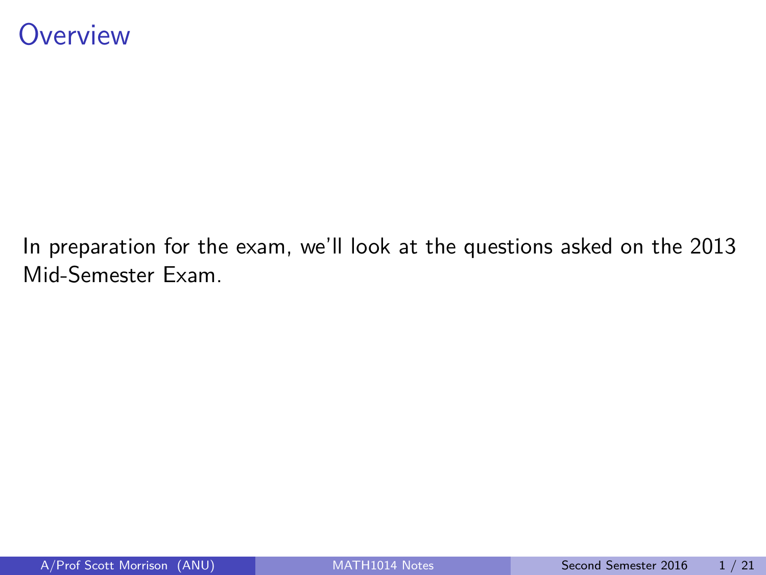#### <span id="page-0-0"></span>**Overview**

In preparation for the exam, we'll look at the questions asked on the 2013 Mid-Semester Exam.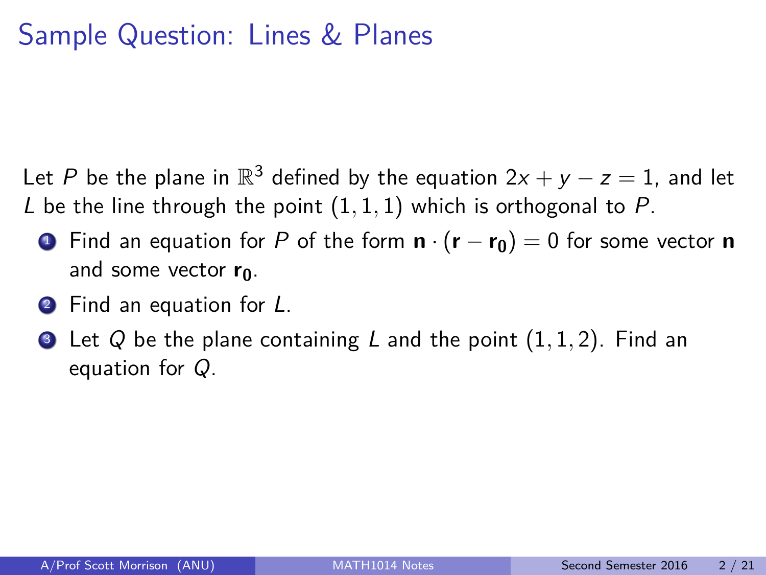# Sample Question: Lines & Planes

Let P be the plane in  $\mathbb{R}^3$  defined by the equation  $2x + y - z = 1$ , and let L be the line through the point  $(1, 1, 1)$  which is orthogonal to P.

- <sup>1</sup> Find an equation for P of the form **n** · (**r** − **r0**) = 0 for some vector **n** and some vector **r0**.
- **2** Find an equation for L.
- <sup>3</sup> Let Q be the plane containing L and the point (1*,* 1*,* 2). Find an equation for Q.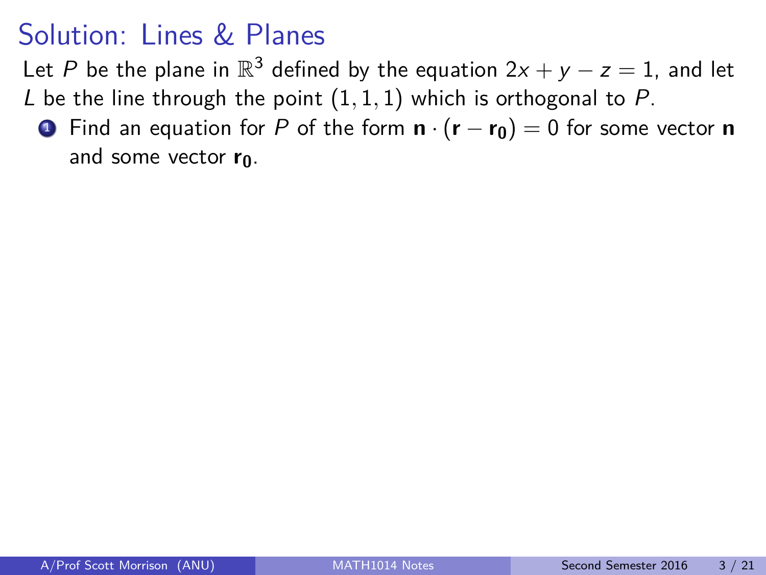Let P be the plane in  $\mathbb{R}^3$  defined by the equation  $2x + y - z = 1$ , and let

L be the line through the point  $(1, 1, 1)$  which is orthogonal to P.

<sup>1</sup> Find an equation for P of the form **n** · (**r** − **r0**) = 0 for some vector **n** and some vector **r0**.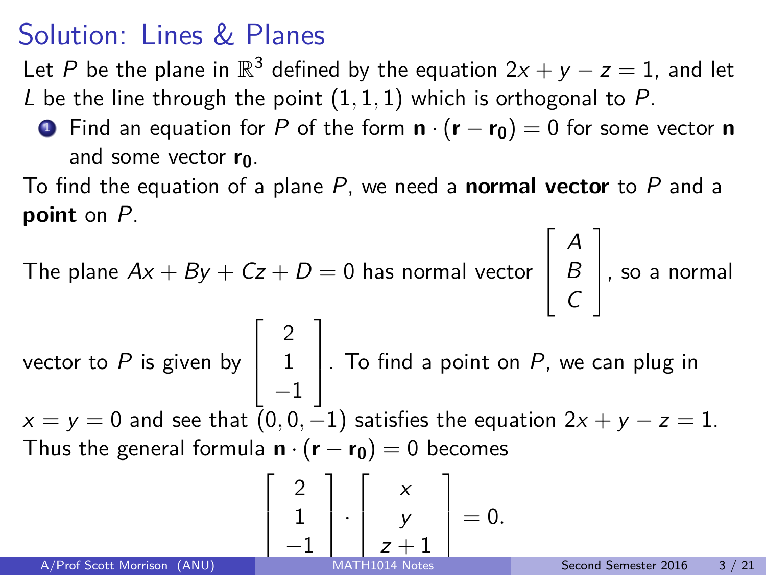Let P be the plane in  $\mathbb{R}^3$  defined by the equation  $2x + y - z = 1$ , and let L be the line through the point  $(1, 1, 1)$  which is orthogonal to P.

**1** Find an equation for P of the form  $\mathbf{n} \cdot (\mathbf{r} - \mathbf{r_0}) = 0$  for some vector **n** and some vector **r0**.

To find the equation of a plane P, we need a **normal vector** to P and a **point** on P.

The plane  $Ax + By + Cz + D = 0$  has normal vector  $\sqrt{ }$  $\overline{\phantom{a}}$ A B  $\mathcal{C}_{0}^{(n)}$ 1 , so a normal  $\sqrt{ }$ 2 1

vector to  $P$  is given by  $\overline{\phantom{a}}$ 1 −1  $\vert$ . To find a point on  $P$ , we can plug in  $x = y = 0$  and see that  $(0, 0, -1)$  satisfies the equation  $2x + y - z = 1$ . Thus the general formula  $\mathbf{n} \cdot (\mathbf{r} - \mathbf{r_0}) = 0$  becomes

$$
\left[\begin{array}{c}2\\1\\-1\end{array}\right]\cdot\left[\begin{array}{c}x\\y\\z+1\end{array}\right]=0.
$$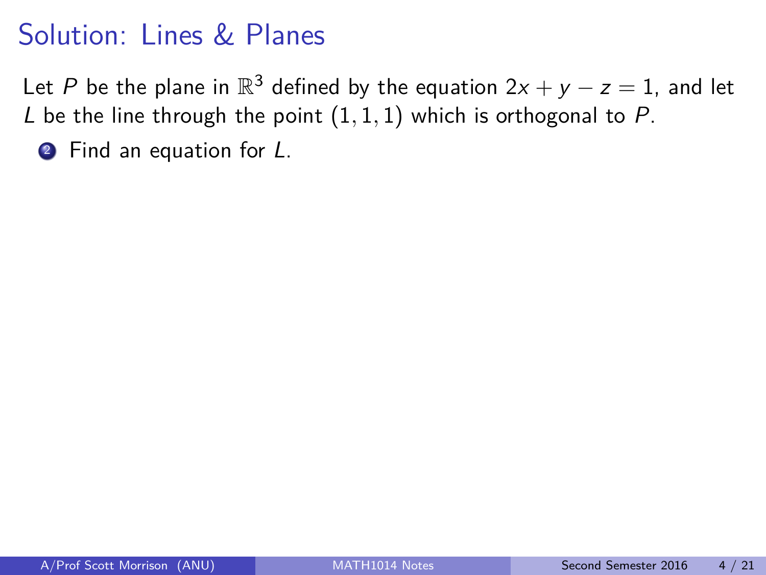Let P be the plane in  $\mathbb{R}^3$  defined by the equation  $2x + y - z = 1$ , and let L be the line through the point  $(1, 1, 1)$  which is orthogonal to P.

**2** Find an equation for L.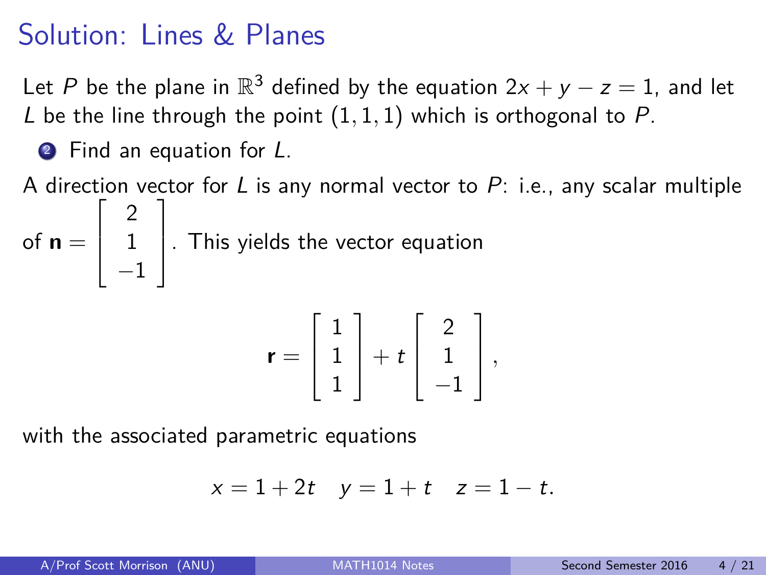Let P be the plane in  $\mathbb{R}^3$  defined by the equation  $2x + y - z = 1$ , and let L be the line through the point  $(1, 1, 1)$  which is orthogonal to P.

**2** Find an equation for L.

A direction vector for L is any normal vector to  $P$ : i.e., any scalar multiple of  $\mathsf{n} =$  $\sqrt{ }$  $\overline{\phantom{a}}$ 2 1 −1 1  $\vert$ . This yields the vector equation

$$
\mathbf{r} = \left[\begin{array}{c} 1 \\ 1 \\ 1 \end{array}\right] + t \left[\begin{array}{c} 2 \\ 1 \\ -1 \end{array}\right],
$$

with the associated parametric equations

$$
x = 1 + 2t \quad y = 1 + t \quad z = 1 - t.
$$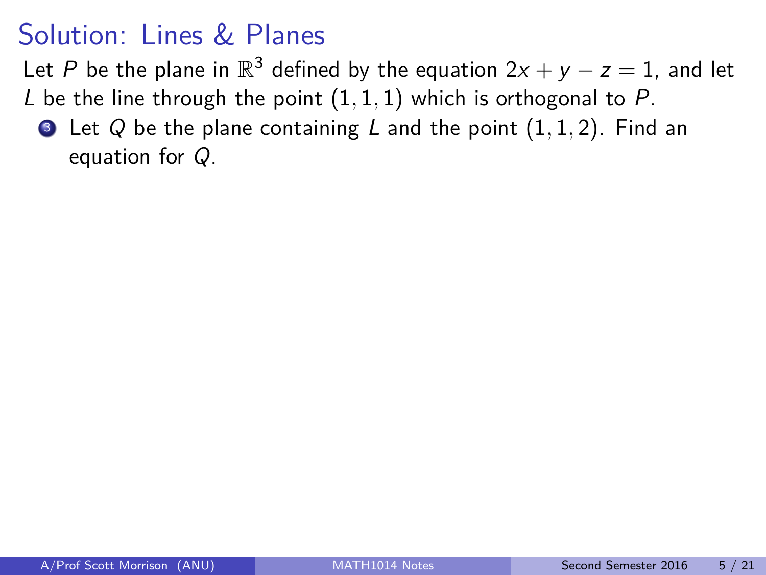Let P be the plane in  $\mathbb{R}^3$  defined by the equation  $2x + y - z = 1$ , and let

L be the line through the point  $(1, 1, 1)$  which is orthogonal to P.

<sup>3</sup> Let Q be the plane containing L and the point (1*,* 1*,* 2). Find an equation for Q.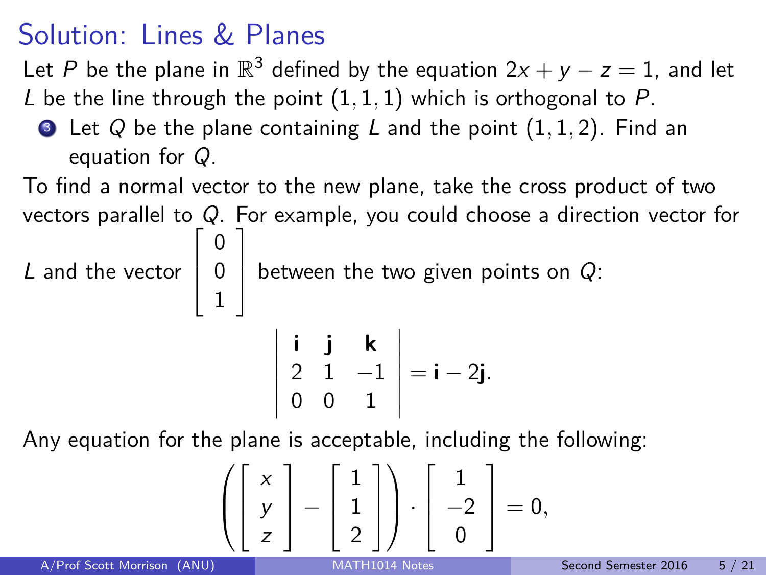$\lceil$ 

1

1

Let P be the plane in  $\mathbb{R}^3$  defined by the equation  $2x + y - z = 1$ , and let

- L be the line through the point (1*,* 1*,* 1) which is orthogonal to P.
	- <sup>3</sup> Let Q be the plane containing L and the point (1*,* 1*,* 2). Find an equation for Q.

To find a normal vector to the new plane, take the cross product of two vectors parallel to Q. For example, you could choose a direction vector for

L and the vector  $\overline{\phantom{a}}$ 0 0 between the two given points on  $Q$ :

$$
\left|\begin{array}{ccc} \mathbf{i} & \mathbf{j} & \mathbf{k} \\ 2 & 1 & -1 \\ 0 & 0 & 1 \end{array}\right| = \mathbf{i} - 2\mathbf{j}.
$$

Any equation for the plane is acceptable, including the following:

$$
\left(\left[\begin{array}{c} x \\ y \\ z \end{array}\right]-\left[\begin{array}{c} 1 \\ 1 \\ 2 \end{array}\right]\right)\cdot \left[\begin{array}{c} 1 \\ -2 \\ 0 \end{array}\right]=0,
$$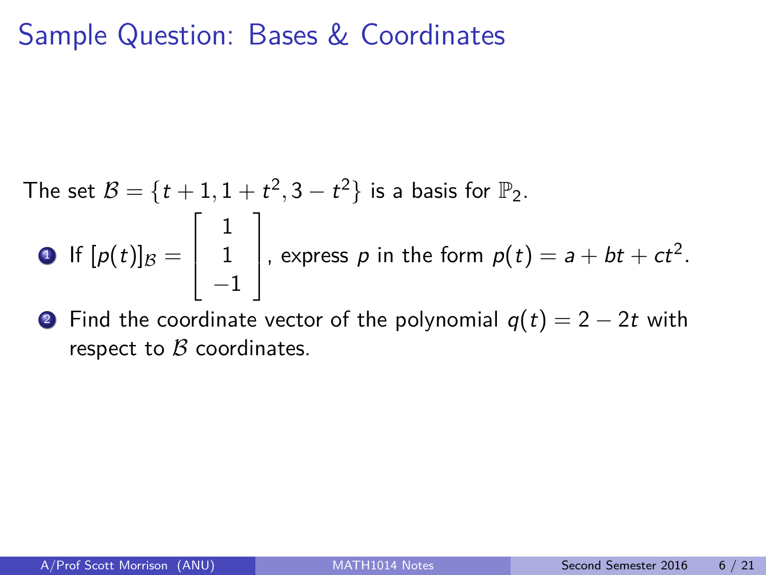#### Sample Question: Bases & Coordinates

The set 
$$
B = \{t + 1, 1 + t^2, 3 - t^2\}
$$
 is a basis for  $\mathbb{P}_2$ .  
\n• If  $[p(t)]_B = \begin{bmatrix} 1 \\ 1 \\ -1 \end{bmatrix}$ , express *p* in the form  $p(t) = a + bt + ct^2$ .

• Find the coordinate vector of the polynomial  $q(t) = 2 - 2t$  with respect to  $\beta$  coordinates.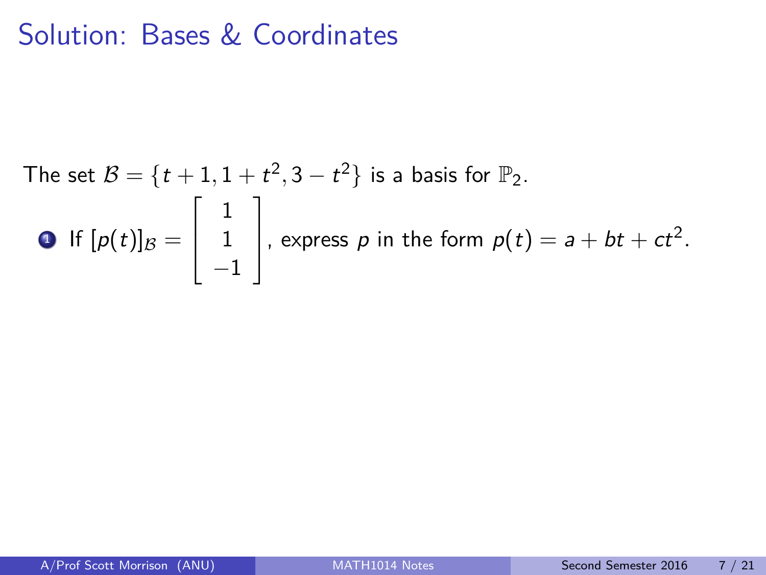The set 
$$
B = \{t + 1, 1 + t^2, 3 - t^2\}
$$
 is a basis for  $\mathbb{P}_2$ .  
\n• If  $[p(t)]_B = \begin{bmatrix} 1 \\ 1 \\ -1 \end{bmatrix}$ , express  $p$  in the form  $p(t) = a + bt + ct^2$ .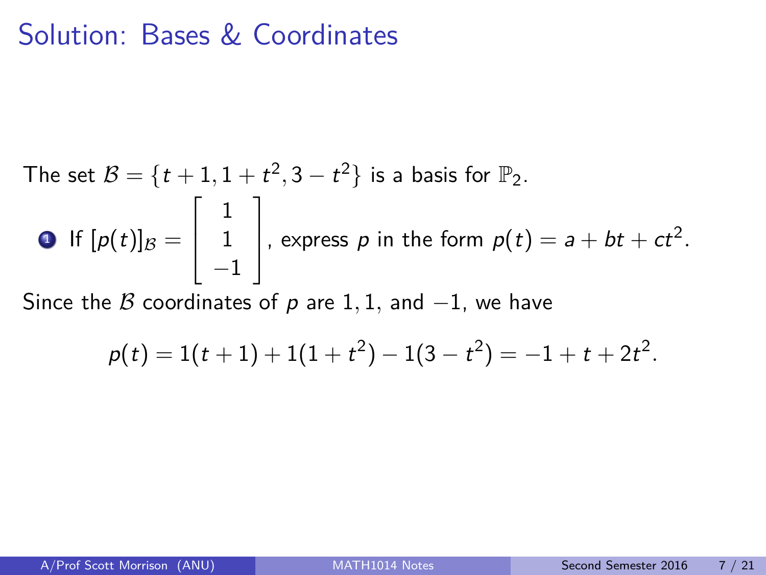The set 
$$
B = \{t + 1, 1 + t^2, 3 - t^2\}
$$
 is a basis for  $\mathbb{P}_2$ .  
\n• If  $[p(t)]_B = \begin{bmatrix} 1 \\ 1 \\ -1 \end{bmatrix}$ , express *p* in the form  $p(t) = a + bt + ct^2$ .  
\nSince the *B* coordinates of *p* are 1, 1, and -1, we have

$$
p(t) = 1(t+1) + 1(1+t^2) - 1(3-t^2) = -1 + t + 2t^2.
$$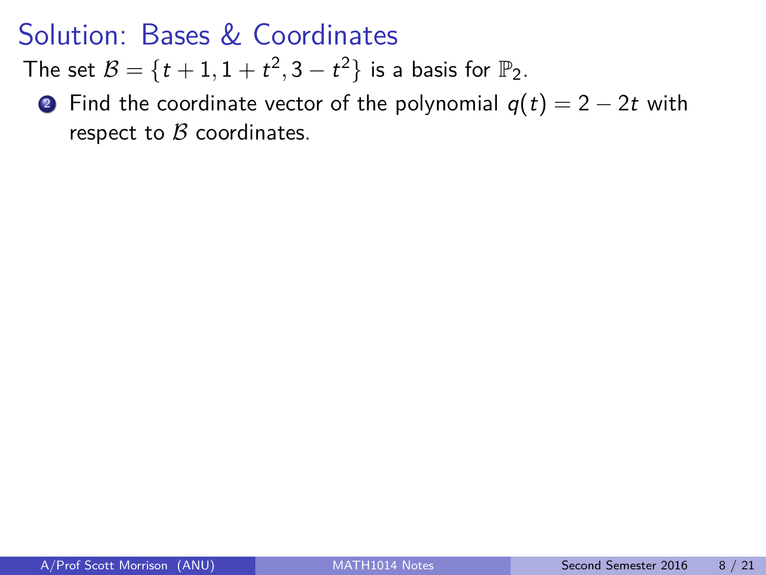The set  $B = \{t+1, 1+t^2, 3-t^2\}$  is a basis for  $\mathbb{P}_2$ .

**2** Find the coordinate vector of the polynomial  $q(t) = 2 - 2t$  with respect to  $\beta$  coordinates.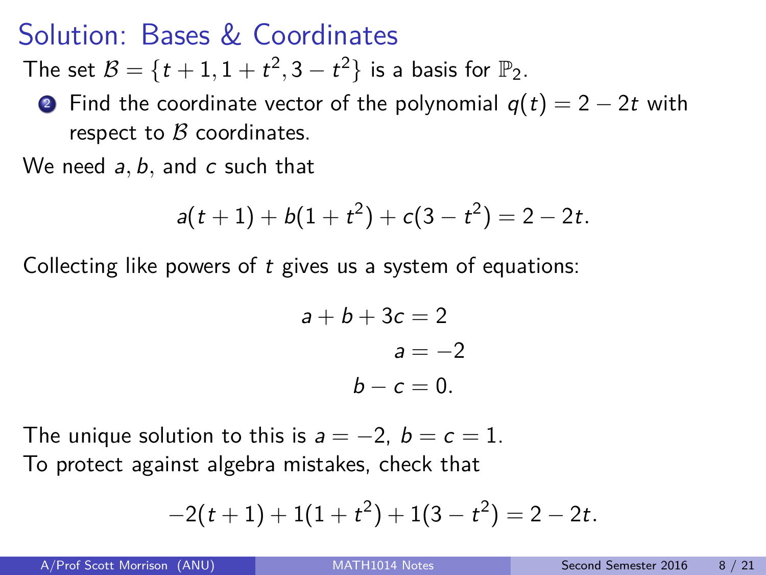The set  $B = \{t+1, 1+t^2, 3-t^2\}$  is a basis for  $\mathbb{P}_2$ .

• Find the coordinate vector of the polynomial  $q(t) = 2 - 2t$  with respect to  $\beta$  coordinates.

We need a*,* b*,* and c such that

$$
a(t+1)+b(1+t^2)+c(3-t^2)=2-2t.
$$

Collecting like powers of  $t$  gives us a system of equations:

$$
a+b+3c = 2
$$
  

$$
a = -2
$$
  

$$
b-c = 0.
$$

The unique solution to this is  $a = -2$ ,  $b = c = 1$ . To protect against algebra mistakes, check that

$$
-2(t+1)+1(1+t^2)+1(3-t^2)=2-2t.
$$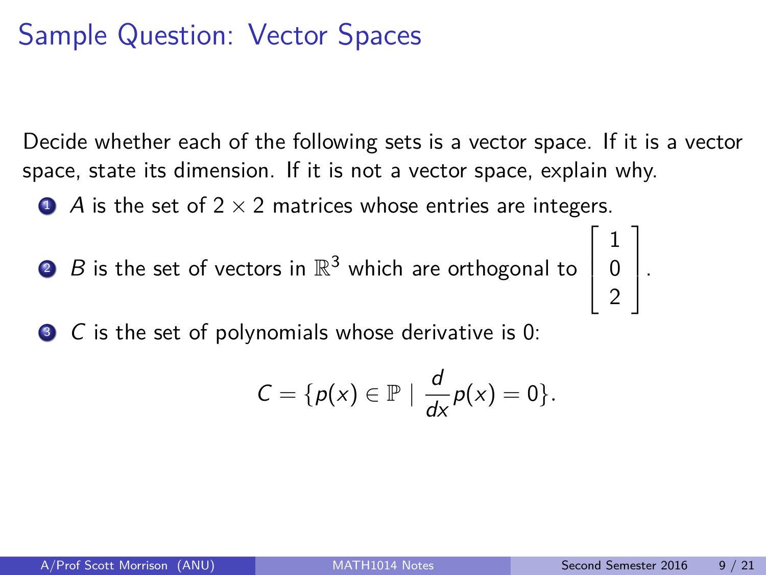# Sample Question: Vector Spaces

Decide whether each of the following sets is a vector space. If it is a vector space, state its dimension. If it is not a vector space, explain why.

 $\bullet$  A is the set of 2  $\times$  2 matrices whose entries are integers.

 $2$   $\,$   $\,$   $\,$   $\,$   $\,$   $\,$  is the set of vectors in  $\mathbb{R}^{3}$  which are orthogonal to  $\overline{\phantom{a}}$ 

<sup>3</sup> C is the set of polynomials whose derivative is 0:

$$
C = \{p(x) \in \mathbb{P} \mid \frac{d}{dx}p(x) = 0\}.
$$

 $\sqrt{ }$ 

1 0 2 1  $\vert \cdot$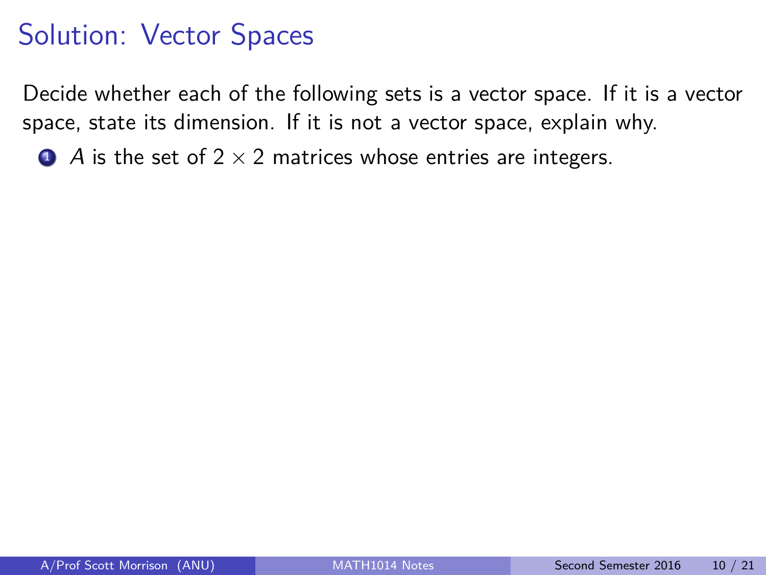Decide whether each of the following sets is a vector space. If it is a vector space, state its dimension. If it is not a vector space, explain why.

 $\bullet$  A is the set of 2  $\times$  2 matrices whose entries are integers.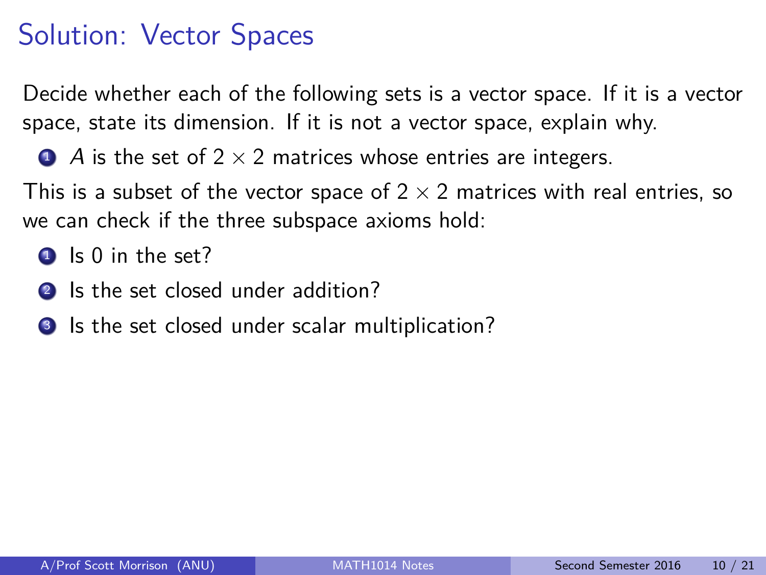Decide whether each of the following sets is a vector space. If it is a vector space, state its dimension. If it is not a vector space, explain why.

 $\bullet$  A is the set of 2  $\times$  2 matrices whose entries are integers.

This is a subset of the vector space of  $2 \times 2$  matrices with real entries, so we can check if the three subspace axioms hold:

- $\bullet$  Is 0 in the set?
- 2 Is the set closed under addition?
- **3** Is the set closed under scalar multiplication?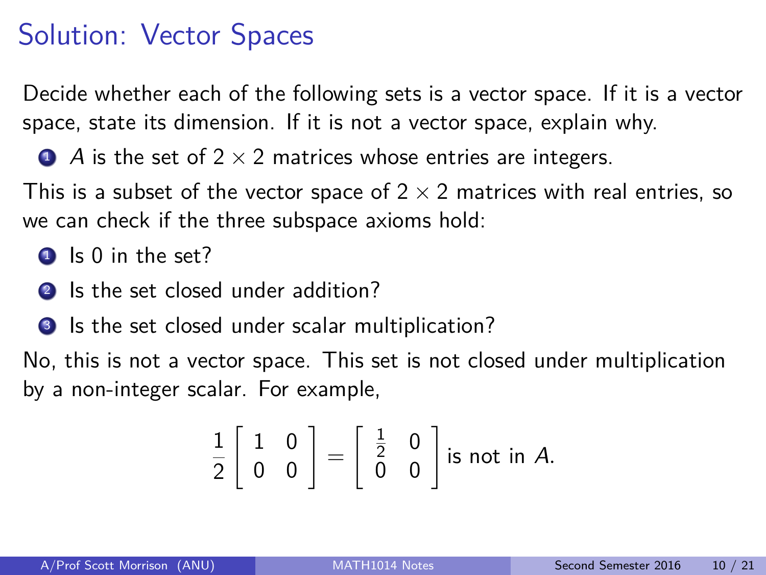Decide whether each of the following sets is a vector space. If it is a vector space, state its dimension. If it is not a vector space, explain why.

 $\bullet$  A is the set of 2  $\times$  2 matrices whose entries are integers.

This is a subset of the vector space of  $2 \times 2$  matrices with real entries, so we can check if the three subspace axioms hold:

 $\bullet$  Is 0 in the set?

2 Is the set closed under addition?

**3** Is the set closed under scalar multiplication?

No, this is not a vector space. This set is not closed under multiplication by a non-integer scalar. For example,

$$
\frac{1}{2}\left[\begin{array}{cc}1 & 0\\ 0 & 0\end{array}\right]=\left[\begin{array}{cc} \frac{1}{2} & 0\\ 0 & 0\end{array}\right]
$$
 is not in A.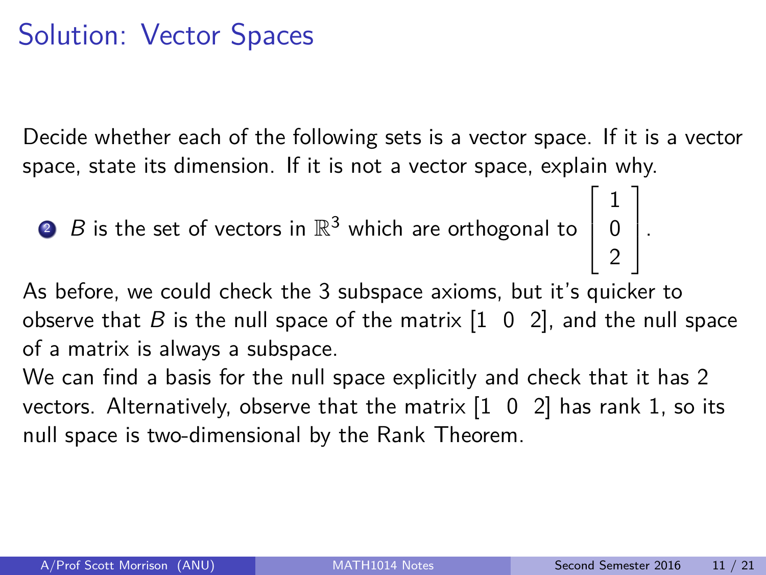Decide whether each of the following sets is a vector space. If it is a vector space, state its dimension. If it is not a vector space, explain why.

<sup>2</sup> B is the set of vectors in R <sup>3</sup> which are orthogonal to  $\Big\}$ 1 0  $\vert \cdot$ 

As before, we could check the 3 subspace axioms, but it's quicker to observe that  $B$  is the null space of the matrix  $\begin{bmatrix} 1 & 0 & 2 \end{bmatrix}$ , and the null space of a matrix is always a subspace.

We can find a basis for the null space explicitly and check that it has 2 vectors. Alternatively, observe that the matrix  $\begin{bmatrix} 1 & 0 & 2 \end{bmatrix}$  has rank 1, so its null space is two-dimensional by the Rank Theorem.

 $\sqrt{ }$ 

2

1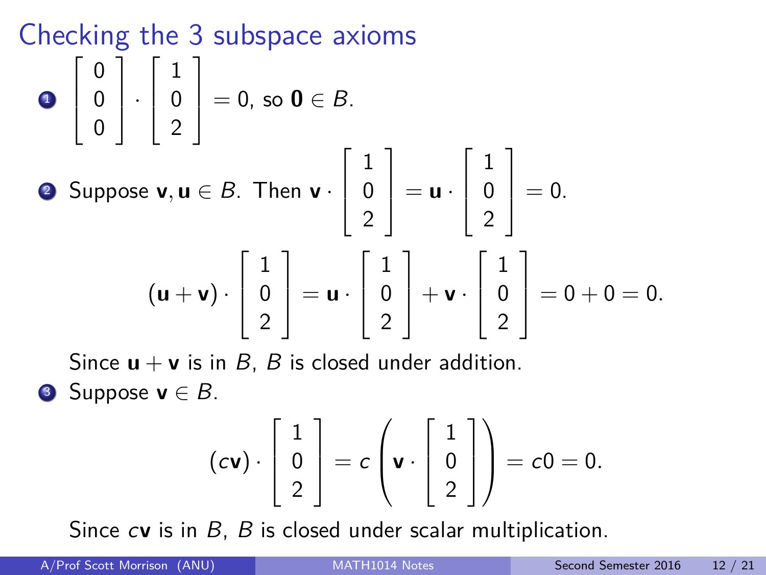#### Checking the 3 subspace axioms 1  $\sqrt{ }$  $\overline{\phantom{a}}$ 0 0 0 1  $|\cdot$  $\sqrt{ }$  $\overline{\phantom{a}}$ 1 0 2 1  $\Big| = 0$ , so  $0 \in B$ . <sup>2</sup> Suppose **v***,* **u** ∈ B. Then **v** ·  $\sqrt{ }$  $\overline{\phantom{a}}$ 1 0 2 1  $\vert$  = **u** ·  $\sqrt{ }$  $\overline{\phantom{a}}$ 1 0 2 1  $\Big| = 0.$  $(\mathsf{u} + \mathsf{v}) \cdot$  $\sqrt{ }$  $\overline{\phantom{a}}$ 1 0 2 1  $\vert$  = **u** ·  $\sqrt{ }$  $\overline{\phantom{a}}$ 1 0 2 1  $+$ **v** ·  $\lceil$  $\overline{\phantom{a}}$ 1 0 2 1  $\Big| = 0 + 0 = 0.$

Since  $\mathbf{u} + \mathbf{v}$  is in B, B is closed under addition. **3** Suppose  $\mathbf{v} \in B$ .

$$
(c\mathbf{v})\cdot \left[\begin{array}{c}1\\0\\2\end{array}\right]=c\left(\mathbf{v}\cdot \left[\begin{array}{c}1\\0\\2\end{array}\right]\right)=c0=0.
$$

Since c**v** is in B, B is closed under scalar multiplication.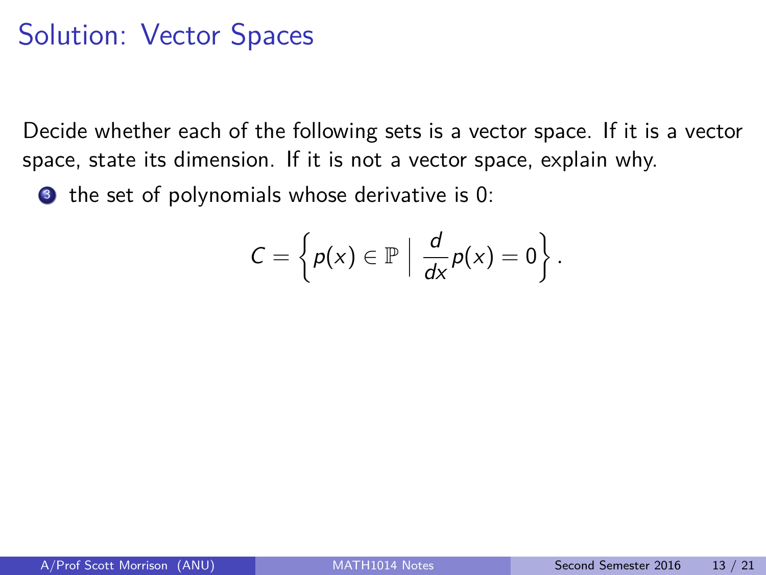Decide whether each of the following sets is a vector space. If it is a vector space, state its dimension. If it is not a vector space, explain why.

**3** the set of polynomials whose derivative is 0:

$$
C=\left\{p(x)\in\mathbb{P}\,\,\Big|\,\,\frac{d}{dx}p(x)=0\right\}.
$$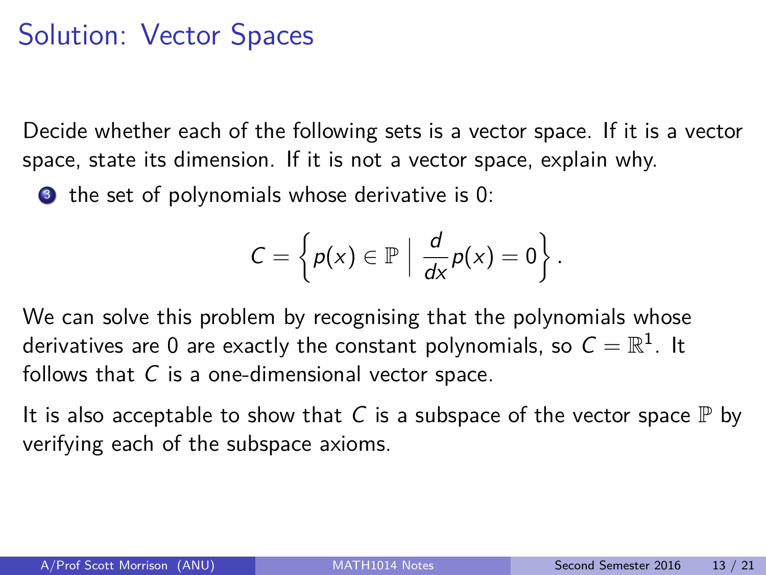Decide whether each of the following sets is a vector space. If it is a vector space, state its dimension. If it is not a vector space, explain why.

**3** the set of polynomials whose derivative is 0:

$$
C=\left\{p(x)\in\mathbb{P}\,\,\Big|\,\,\frac{d}{dx}p(x)=0\right\}.
$$

We can solve this problem by recognising that the polynomials whose derivatives are 0 are exactly the constant polynomials, so  $\mathcal{C}=\mathbb{R}^1$ . It follows that  $C$  is a one-dimensional vector space.

It is also acceptable to show that C is a subspace of the vector space  $\mathbb P$  by verifying each of the subspace axioms.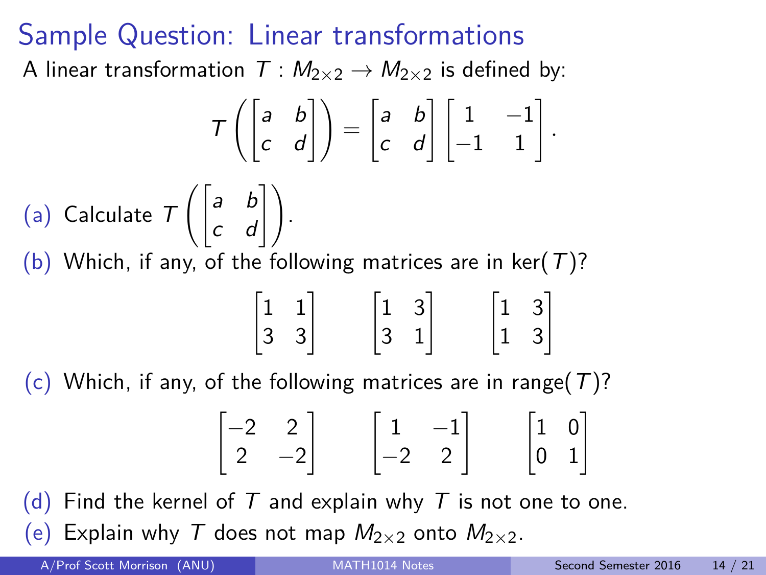#### Sample Question: Linear transformations

A linear transformation  $T : M_{2 \times 2} \rightarrow M_{2 \times 2}$  is defined by:

$$
\mathcal{T}\left(\begin{bmatrix} a & b \\ c & d \end{bmatrix}\right) = \begin{bmatrix} a & b \\ c & d \end{bmatrix} \begin{bmatrix} 1 & -1 \\ -1 & 1 \end{bmatrix}.
$$
  
(a) Calculate  $\mathcal{T}\left(\begin{bmatrix} a & b \\ c & d \end{bmatrix}\right).$   
(b) Which, if any, of the following matrices are in ker(T)?

$$
\begin{bmatrix} 1 & 1 \\ 3 & 3 \end{bmatrix} \qquad \begin{bmatrix} 1 & 3 \\ 3 & 1 \end{bmatrix} \qquad \begin{bmatrix} 1 & 3 \\ 1 & 3 \end{bmatrix}
$$

(c) Which, if any, of the following matrices are in range( $T$ )?

$$
\begin{bmatrix} -2 & 2 \\ 2 & -2 \end{bmatrix} \qquad \begin{bmatrix} 1 & -1 \\ -2 & 2 \end{bmatrix} \qquad \begin{bmatrix} 1 & 0 \\ 0 & 1 \end{bmatrix}
$$

(d) Find the kernel of T and explain why T is not one to one. (e) Explain why T does not map  $M_{2\times 2}$  onto  $M_{2\times 2}$ .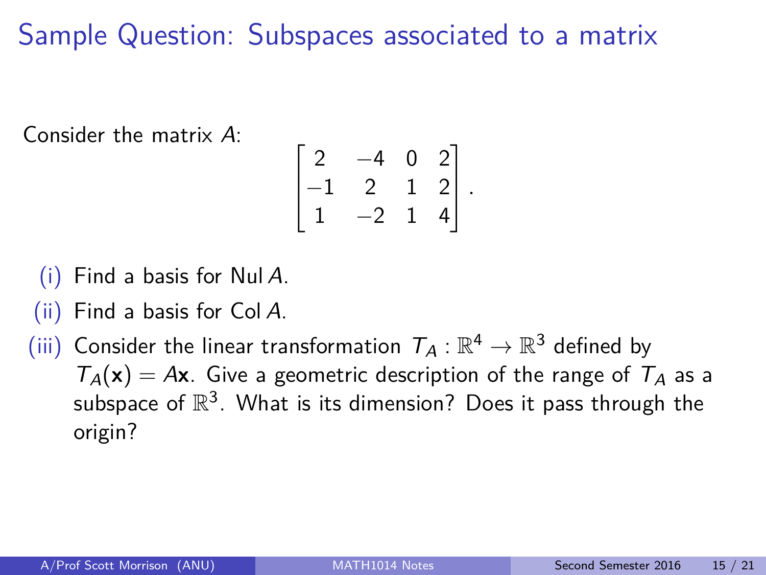# Sample Question: Subspaces associated to a matrix

Consider the matrix A:

$$
\begin{bmatrix} 2 & -4 & 0 & 2 \ -1 & 2 & 1 & 2 \ 1 & -2 & 1 & 4 \end{bmatrix}.
$$

 $(i)$  Find a basis for Nul A.

- (ii) Find a basis for Col A.
- (iii) Consider the linear transformation  $\mathcal{T}_A:\mathbb{R}^4\to\mathbb{R}^3$  defined by  $T_A(\mathbf{x}) = A\mathbf{x}$ . Give a geometric description of the range of  $T_A$  as a subspace of  $\mathbb{R}^3$ . What is its dimension? Does it pass through the origin?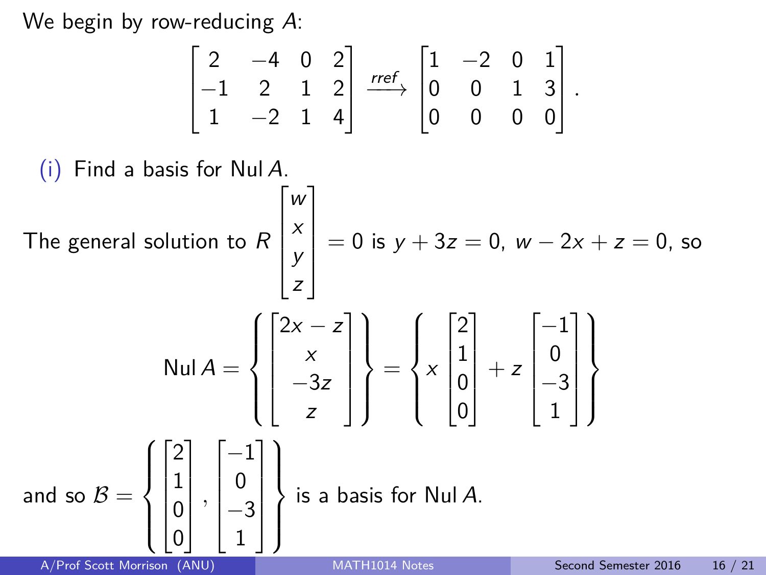We begin by row-reducing A:

$$
\begin{bmatrix} 2 & -4 & 0 & 2 \\ -1 & 2 & 1 & 2 \\ 1 & -2 & 1 & 4 \end{bmatrix} \xrightarrow{\text{rref}} \begin{bmatrix} 1 & -2 & 0 & 1 \\ 0 & 0 & 1 & 3 \\ 0 & 0 & 0 & 0 \end{bmatrix}.
$$

(i) Find a basis for Null A.  
\nThe general solution to 
$$
R\begin{bmatrix} w \\ x \\ y \\ z \end{bmatrix} = 0
$$
 is  $y + 3z = 0$ ,  $w - 2x + z = 0$ , so\n
$$
\begin{bmatrix} 2x - z \\ x \\ -3z \\ z \end{bmatrix} = \begin{Bmatrix} 2x - z \\ x \begin{bmatrix} 2 \\ 1 \\ 0 \\ 0 \end{bmatrix} + z \begin{bmatrix} -1 \\ 0 \\ -3 \\ 1 \end{bmatrix}
$$
\nand so  $B = \begin{Bmatrix} 2 \\ 1 \\ 0 \\ 0 \end{Bmatrix}, \begin{bmatrix} -1 \\ 0 \\ -3 \\ 1 \end{bmatrix}$  is a basis for Null A.  
\nA/Prof Scott Morrison (ANU)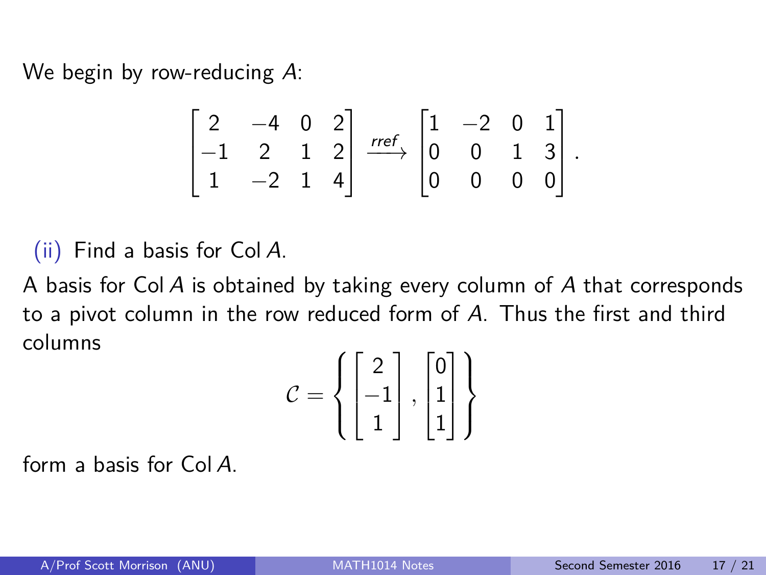We begin by row-reducing A:

$$
\begin{bmatrix} 2 & -4 & 0 & 2 \ -1 & 2 & 1 & 2 \ 1 & -2 & 1 & 4 \end{bmatrix} \xrightarrow{rref} \begin{bmatrix} 1 & -2 & 0 & 1 \ 0 & 0 & 1 & 3 \ 0 & 0 & 0 & 0 \end{bmatrix}.
$$

(ii) Find a basis for Col A.

A basis for Col A is obtained by taking every column of A that corresponds to a pivot column in the row reduced form of A. Thus the first and third columns

$$
\mathcal{C} = \left\{ \begin{bmatrix} 2 \\ -1 \\ 1 \end{bmatrix}, \begin{bmatrix} 0 \\ 1 \\ 1 \end{bmatrix} \right\}
$$

form a basis for Col A.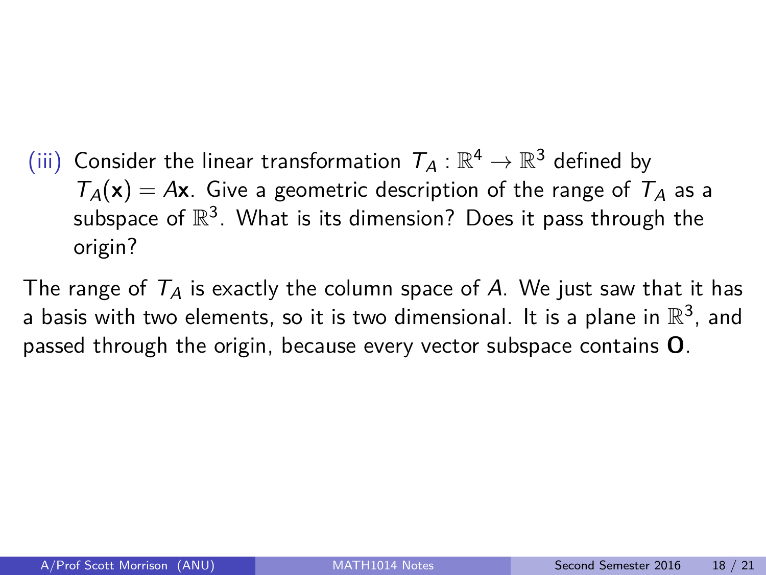(iii) Consider the linear transformation  $\mathcal{T}_A:\mathbb{R}^4\to\mathbb{R}^3$  defined by  $T_A(x) = Ax$ . Give a geometric description of the range of  $T_A$  as a subspace of  $\mathbb{R}^3$ . What is its dimension? Does it pass through the origin?

The range of  $T_A$  is exactly the column space of A. We just saw that it has a basis with two elements, so it is two dimensional. It is a plane in  $\mathbb{R}^3$ , and passed through the origin, because every vector subspace contains **O**.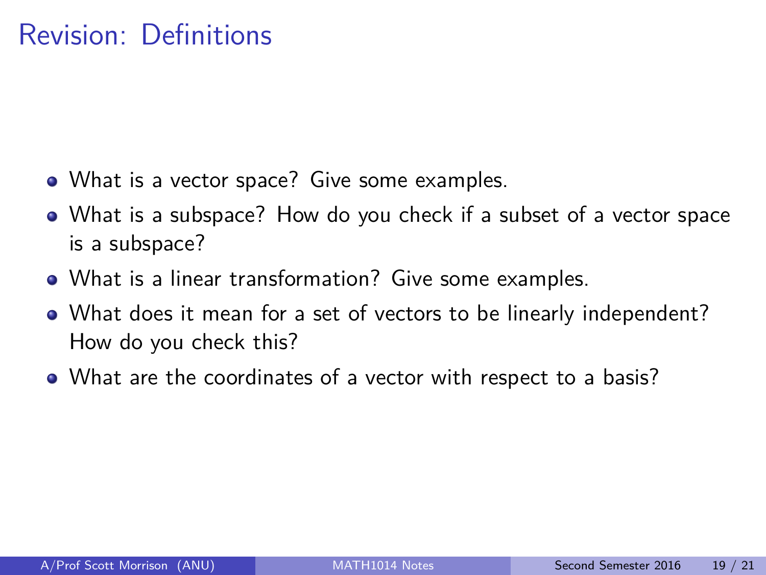#### Revision: Definitions

- What is a vector space? Give some examples.
- What is a subspace? How do you check if a subset of a vector space is a subspace?
- What is a linear transformation? Give some examples.
- What does it mean for a set of vectors to be linearly independent? How do you check this?
- What are the coordinates of a vector with respect to a basis?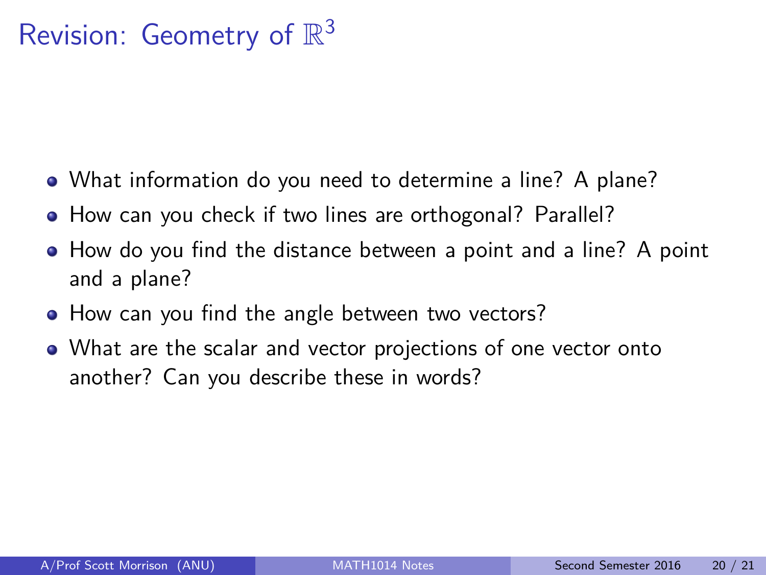# Revision: Geometry of  $\mathbb{R}^3$

- What information do you need to determine a line? A plane?
- How can you check if two lines are orthogonal? Parallel?
- How do you find the distance between a point and a line? A point and a plane?
- How can you find the angle between two vectors?
- What are the scalar and vector projections of one vector onto another? Can you describe these in words?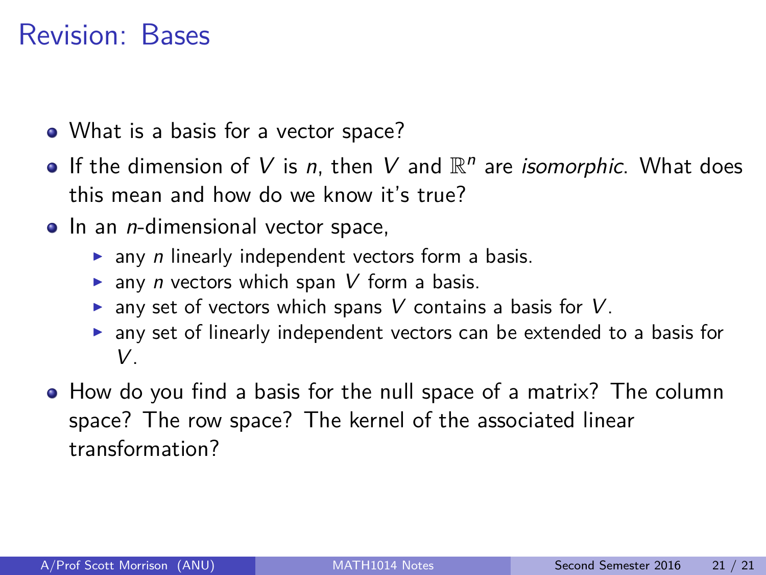#### Revision: Bases

- What is a basis for a vector space?
- If the dimension of V is n, then V and  $\mathbb{R}^n$  are *isomorphic*. What does this mean and how do we know it's true?
- $\bullet$  In an *n*-dimensional vector space,
	- $\triangleright$  any *n* linearly independent vectors form a basis.
	- $\triangleright$  any *n* vectors which span V form a basis.
	- $\triangleright$  any set of vectors which spans V contains a basis for V.
	- $\triangleright$  any set of linearly independent vectors can be extended to a basis for V.
- How do you find a basis for the null space of a matrix? The column space? The row space? The kernel of the associated linear transformation?